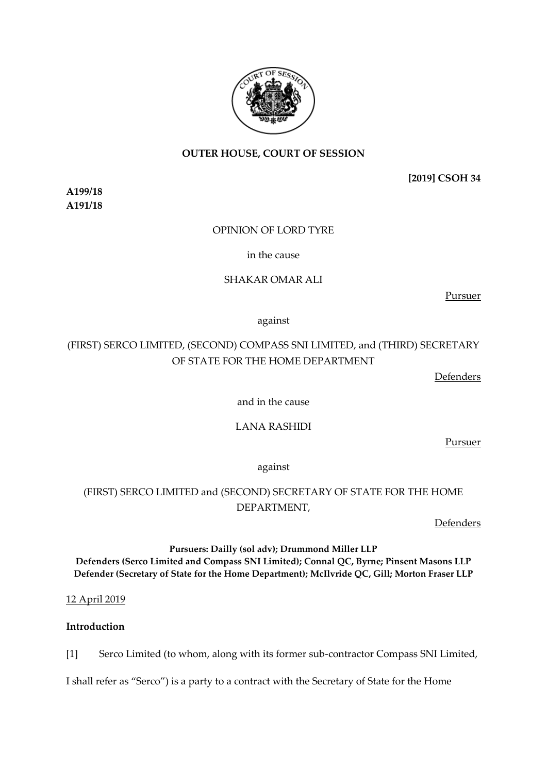# **OUTER HOUSE, COURT OF SESSION**

**[2019] CSOH 34**

**A199/18 A191/18**

# OPINION OF LORD TYRE

in the cause

# SHAKAR OMAR ALI

Pursuer

against

# (FIRST) SERCO LIMITED, (SECOND) COMPASS SNI LIMITED, and (THIRD) SECRETARY OF STATE FOR THE HOME DEPARTMENT

Defenders

and in the cause

## LANA RASHIDI

Pursuer

against

# (FIRST) SERCO LIMITED and (SECOND) SECRETARY OF STATE FOR THE HOME DEPARTMENT,

**Defenders** 

# **Pursuers: Dailly (sol adv); Drummond Miller LLP Defenders (Serco Limited and Compass SNI Limited); Connal QC, Byrne; Pinsent Masons LLP Defender (Secretary of State for the Home Department); McIlvride QC, Gill; Morton Fraser LLP**

12 April 2019

# **Introduction**

[1] Serco Limited (to whom, along with its former sub-contractor Compass SNI Limited,

I shall refer as "Serco") is a party to a contract with the Secretary of State for the Home

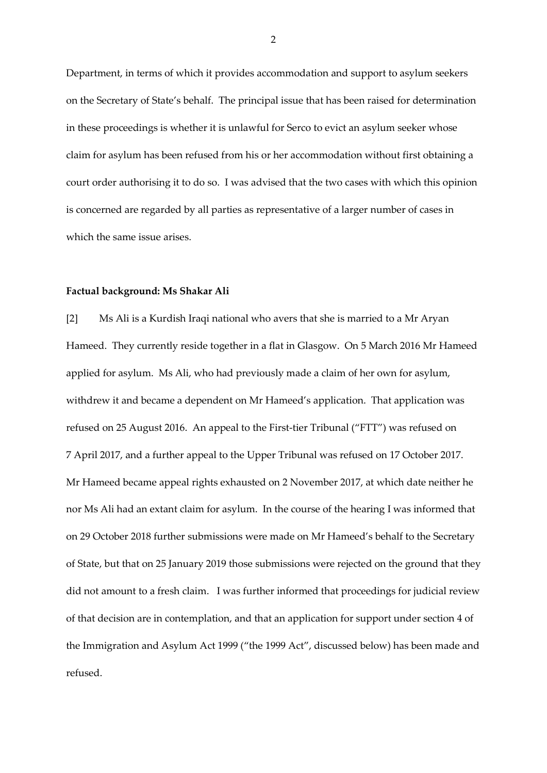Department, in terms of which it provides accommodation and support to asylum seekers on the Secretary of State's behalf. The principal issue that has been raised for determination in these proceedings is whether it is unlawful for Serco to evict an asylum seeker whose claim for asylum has been refused from his or her accommodation without first obtaining a court order authorising it to do so. I was advised that the two cases with which this opinion is concerned are regarded by all parties as representative of a larger number of cases in which the same issue arises.

#### **Factual background: Ms Shakar Ali**

[2] Ms Ali is a Kurdish Iraqi national who avers that she is married to a Mr Aryan Hameed. They currently reside together in a flat in Glasgow. On 5 March 2016 Mr Hameed applied for asylum. Ms Ali, who had previously made a claim of her own for asylum, withdrew it and became a dependent on Mr Hameed's application. That application was refused on 25 August 2016. An appeal to the First-tier Tribunal ("FTT") was refused on 7 April 2017, and a further appeal to the Upper Tribunal was refused on 17 October 2017. Mr Hameed became appeal rights exhausted on 2 November 2017, at which date neither he nor Ms Ali had an extant claim for asylum. In the course of the hearing I was informed that on 29 October 2018 further submissions were made on Mr Hameed's behalf to the Secretary of State, but that on 25 January 2019 those submissions were rejected on the ground that they did not amount to a fresh claim. I was further informed that proceedings for judicial review of that decision are in contemplation, and that an application for support under section 4 of the Immigration and Asylum Act 1999 ("the 1999 Act", discussed below) has been made and refused.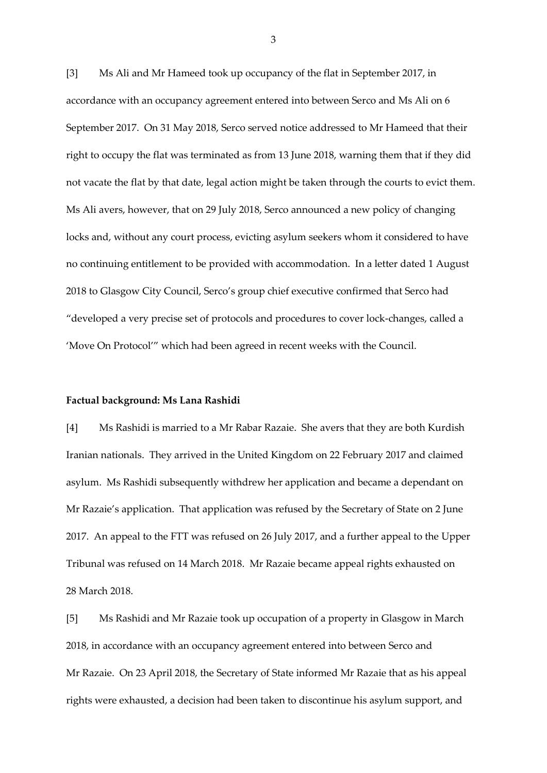[3] Ms Ali and Mr Hameed took up occupancy of the flat in September 2017, in accordance with an occupancy agreement entered into between Serco and Ms Ali on 6 September 2017. On 31 May 2018, Serco served notice addressed to Mr Hameed that their right to occupy the flat was terminated as from 13 June 2018, warning them that if they did not vacate the flat by that date, legal action might be taken through the courts to evict them. Ms Ali avers, however, that on 29 July 2018, Serco announced a new policy of changing locks and, without any court process, evicting asylum seekers whom it considered to have no continuing entitlement to be provided with accommodation. In a letter dated 1 August 2018 to Glasgow City Council, Serco's group chief executive confirmed that Serco had "developed a very precise set of protocols and procedures to cover lock-changes, called a 'Move On Protocol'" which had been agreed in recent weeks with the Council.

#### **Factual background: Ms Lana Rashidi**

[4] Ms Rashidi is married to a Mr Rabar Razaie. She avers that they are both Kurdish Iranian nationals. They arrived in the United Kingdom on 22 February 2017 and claimed asylum. Ms Rashidi subsequently withdrew her application and became a dependant on Mr Razaie's application. That application was refused by the Secretary of State on 2 June 2017. An appeal to the FTT was refused on 26 July 2017, and a further appeal to the Upper Tribunal was refused on 14 March 2018. Mr Razaie became appeal rights exhausted on 28 March 2018.

[5] Ms Rashidi and Mr Razaie took up occupation of a property in Glasgow in March 2018, in accordance with an occupancy agreement entered into between Serco and Mr Razaie. On 23 April 2018, the Secretary of State informed Mr Razaie that as his appeal rights were exhausted, a decision had been taken to discontinue his asylum support, and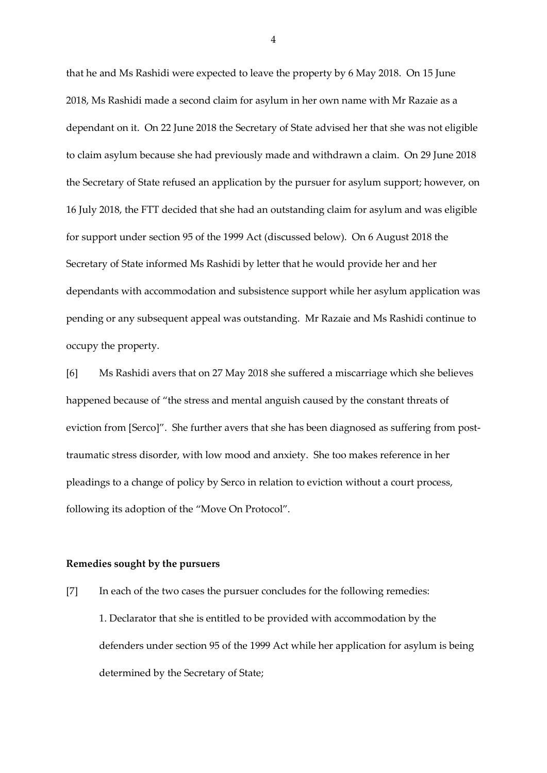that he and Ms Rashidi were expected to leave the property by 6 May 2018. On 15 June 2018, Ms Rashidi made a second claim for asylum in her own name with Mr Razaie as a dependant on it. On 22 June 2018 the Secretary of State advised her that she was not eligible to claim asylum because she had previously made and withdrawn a claim. On 29 June 2018 the Secretary of State refused an application by the pursuer for asylum support; however, on 16 July 2018, the FTT decided that she had an outstanding claim for asylum and was eligible for support under section 95 of the 1999 Act (discussed below). On 6 August 2018 the Secretary of State informed Ms Rashidi by letter that he would provide her and her dependants with accommodation and subsistence support while her asylum application was pending or any subsequent appeal was outstanding. Mr Razaie and Ms Rashidi continue to occupy the property.

[6] Ms Rashidi avers that on 27 May 2018 she suffered a miscarriage which she believes happened because of "the stress and mental anguish caused by the constant threats of eviction from [Serco]". She further avers that she has been diagnosed as suffering from posttraumatic stress disorder, with low mood and anxiety. She too makes reference in her pleadings to a change of policy by Serco in relation to eviction without a court process, following its adoption of the "Move On Protocol".

#### **Remedies sought by the pursuers**

[7] In each of the two cases the pursuer concludes for the following remedies: 1. Declarator that she is entitled to be provided with accommodation by the defenders under section 95 of the 1999 Act while her application for asylum is being determined by the Secretary of State;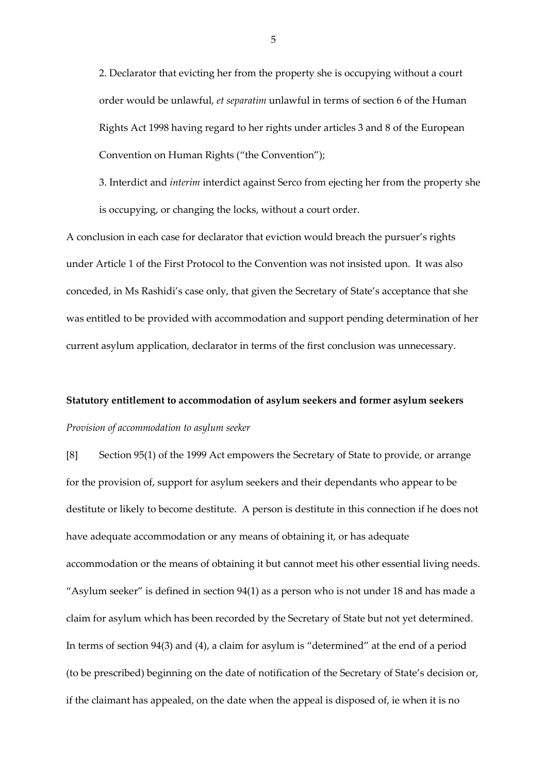2. Declarator that evicting her from the property she is occupying without a court order would be unlawful, *et separatim* unlawful in terms of section 6 of the Human Rights Act 1998 having regard to her rights under articles 3 and 8 of the European Convention on Human Rights ("the Convention");

3. Interdict and *interim* interdict against Serco from ejecting her from the property she is occupying, or changing the locks, without a court order.

A conclusion in each case for declarator that eviction would breach the pursuer's rights under Article 1 of the First Protocol to the Convention was not insisted upon. It was also conceded, in Ms Rashidi's case only, that given the Secretary of State's acceptance that she was entitled to be provided with accommodation and support pending determination of her current asylum application, declarator in terms of the first conclusion was unnecessary.

# **Statutory entitlement to accommodation of asylum seekers and former asylum seekers** *Provision of accommodation to asylum seeker*

[8] Section 95(1) of the 1999 Act empowers the Secretary of State to provide, or arrange for the provision of, support for asylum seekers and their dependants who appear to be destitute or likely to become destitute. A person is destitute in this connection if he does not have adequate accommodation or any means of obtaining it, or has adequate accommodation or the means of obtaining it but cannot meet his other essential living needs. "Asylum seeker" is defined in section 94(1) as a person who is not under 18 and has made a claim for asylum which has been recorded by the Secretary of State but not yet determined. In terms of section 94(3) and (4), a claim for asylum is "determined" at the end of a period (to be prescribed) beginning on the date of notification of the Secretary of State's decision or, if the claimant has appealed, on the date when the appeal is disposed of, ie when it is no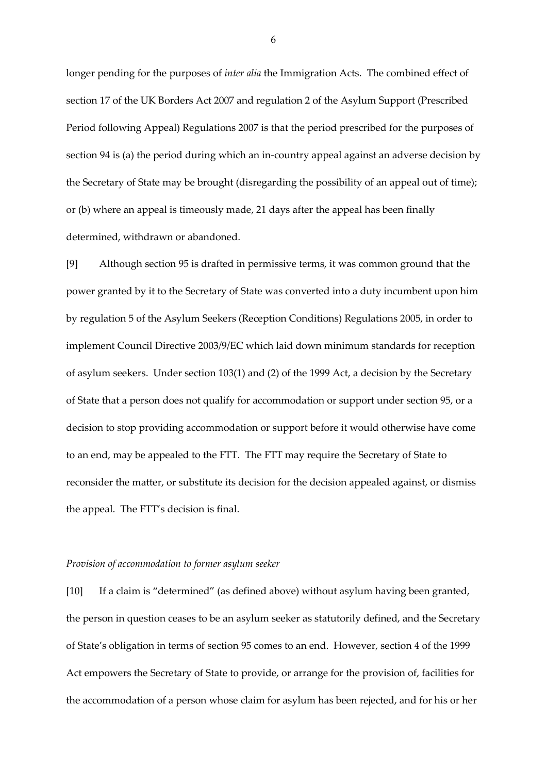longer pending for the purposes of *inter alia* the Immigration Acts. The combined effect of section 17 of the UK Borders Act 2007 and regulation 2 of the Asylum Support (Prescribed Period following Appeal) Regulations 2007 is that the period prescribed for the purposes of section 94 is (a) the period during which an in-country appeal against an adverse decision by the Secretary of State may be brought (disregarding the possibility of an appeal out of time); or (b) where an appeal is timeously made, 21 days after the appeal has been finally determined, withdrawn or abandoned.

[9] Although section 95 is drafted in permissive terms, it was common ground that the power granted by it to the Secretary of State was converted into a duty incumbent upon him by regulation 5 of the Asylum Seekers (Reception Conditions) Regulations 2005, in order to implement Council Directive 2003/9/EC which laid down minimum standards for reception of asylum seekers. Under section 103(1) and (2) of the 1999 Act, a decision by the Secretary of State that a person does not qualify for accommodation or support under section 95, or a decision to stop providing accommodation or support before it would otherwise have come to an end, may be appealed to the FTT. The FTT may require the Secretary of State to reconsider the matter, or substitute its decision for the decision appealed against, or dismiss the appeal. The FTT's decision is final.

#### *Provision of accommodation to former asylum seeker*

[10] If a claim is "determined" (as defined above) without asylum having been granted, the person in question ceases to be an asylum seeker as statutorily defined, and the Secretary of State's obligation in terms of section 95 comes to an end. However, section 4 of the 1999 Act empowers the Secretary of State to provide, or arrange for the provision of, facilities for the accommodation of a person whose claim for asylum has been rejected, and for his or her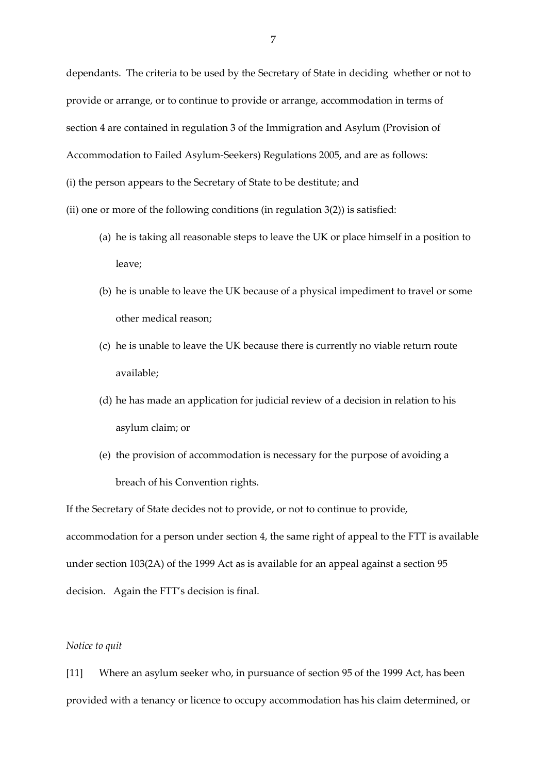dependants. The criteria to be used by the Secretary of State in deciding whether or not to provide or arrange, or to continue to provide or arrange, accommodation in terms of section 4 are contained in regulation 3 of the Immigration and Asylum (Provision of Accommodation to Failed Asylum-Seekers) Regulations 2005, and are as follows: (i) the person appears to the Secretary of State to be destitute; and

(ii) one or more of the following conditions (in regulation  $3(2)$ ) is satisfied:

- (a) he is taking all reasonable steps to leave the UK or place himself in a position to leave;
- (b) he is unable to leave the UK because of a physical impediment to travel or some other medical reason;
- (c) he is unable to leave the UK because there is currently no viable return route available;
- (d) he has made an application for judicial review of a decision in relation to his asylum claim; or
- (e) the provision of accommodation is necessary for the purpose of avoiding a breach of his Convention rights.

If the Secretary of State decides not to provide, or not to continue to provide, accommodation for a person under section 4, the same right of appeal to the FTT is available under section 103(2A) of the 1999 Act as is available for an appeal against a section 95 decision. Again the FTT's decision is final.

### *Notice to quit*

[11] Where an asylum seeker who, in pursuance of section 95 of the 1999 Act, has been provided with a tenancy or licence to occupy accommodation has his claim determined, or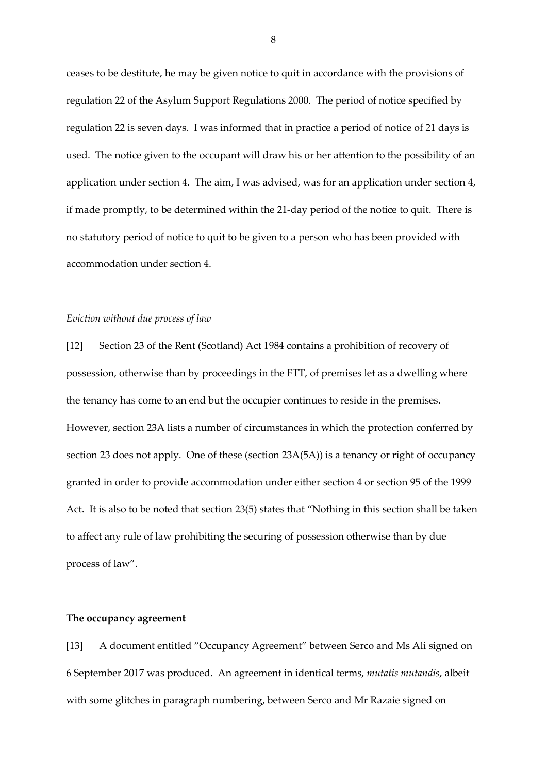ceases to be destitute, he may be given notice to quit in accordance with the provisions of regulation 22 of the Asylum Support Regulations 2000. The period of notice specified by regulation 22 is seven days. I was informed that in practice a period of notice of 21 days is used. The notice given to the occupant will draw his or her attention to the possibility of an application under section 4. The aim, I was advised, was for an application under section 4, if made promptly, to be determined within the 21-day period of the notice to quit. There is no statutory period of notice to quit to be given to a person who has been provided with accommodation under section 4.

#### *Eviction without due process of law*

[12] Section 23 of the Rent (Scotland) Act 1984 contains a prohibition of recovery of possession, otherwise than by proceedings in the FTT, of premises let as a dwelling where the tenancy has come to an end but the occupier continues to reside in the premises. However, section 23A lists a number of circumstances in which the protection conferred by section 23 does not apply. One of these (section 23A(5A)) is a tenancy or right of occupancy granted in order to provide accommodation under either section 4 or section 95 of the 1999 Act. It is also to be noted that section 23(5) states that "Nothing in this section shall be taken to affect any rule of law prohibiting the securing of possession otherwise than by due process of law".

#### **The occupancy agreement**

[13] A document entitled "Occupancy Agreement" between Serco and Ms Ali signed on 6 September 2017 was produced. An agreement in identical terms, *mutatis mutandis*, albeit with some glitches in paragraph numbering, between Serco and Mr Razaie signed on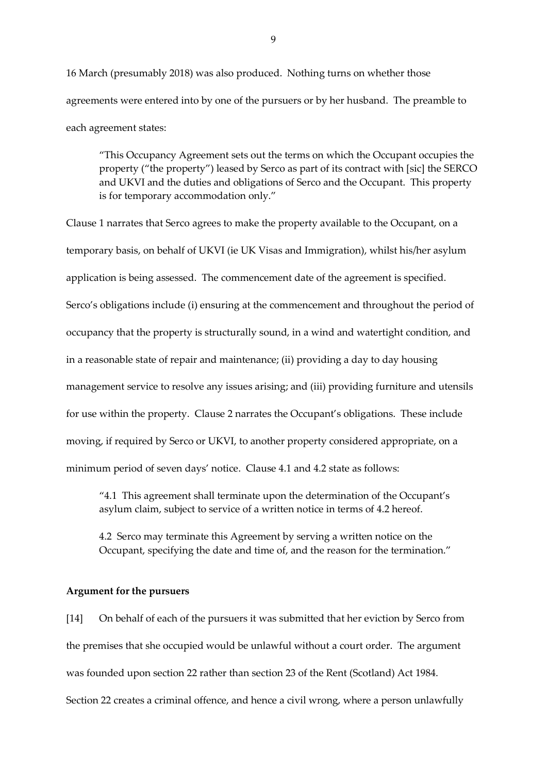16 March (presumably 2018) was also produced. Nothing turns on whether those agreements were entered into by one of the pursuers or by her husband. The preamble to each agreement states:

"This Occupancy Agreement sets out the terms on which the Occupant occupies the property ("the property") leased by Serco as part of its contract with [sic] the SERCO and UKVI and the duties and obligations of Serco and the Occupant. This property is for temporary accommodation only."

Clause 1 narrates that Serco agrees to make the property available to the Occupant, on a temporary basis, on behalf of UKVI (ie UK Visas and Immigration), whilst his/her asylum application is being assessed. The commencement date of the agreement is specified. Serco's obligations include (i) ensuring at the commencement and throughout the period of occupancy that the property is structurally sound, in a wind and watertight condition, and in a reasonable state of repair and maintenance; (ii) providing a day to day housing management service to resolve any issues arising; and (iii) providing furniture and utensils for use within the property. Clause 2 narrates the Occupant's obligations. These include moving, if required by Serco or UKVI, to another property considered appropriate, on a minimum period of seven days' notice. Clause 4.1 and 4.2 state as follows:

"4.1 This agreement shall terminate upon the determination of the Occupant's asylum claim, subject to service of a written notice in terms of 4.2 hereof.

4.2 Serco may terminate this Agreement by serving a written notice on the Occupant, specifying the date and time of, and the reason for the termination."

#### **Argument for the pursuers**

[14] On behalf of each of the pursuers it was submitted that her eviction by Serco from the premises that she occupied would be unlawful without a court order. The argument was founded upon section 22 rather than section 23 of the Rent (Scotland) Act 1984. Section 22 creates a criminal offence, and hence a civil wrong, where a person unlawfully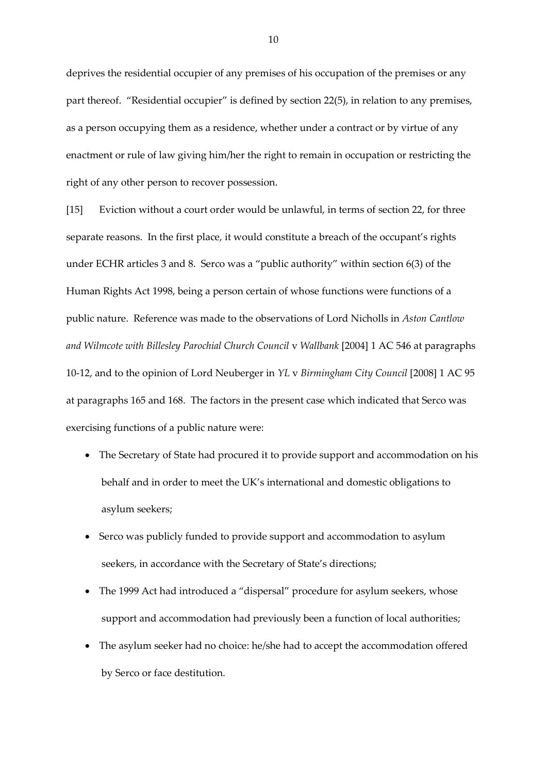deprives the residential occupier of any premises of his occupation of the premises or any part thereof. "Residential occupier" is defined by section 22(5), in relation to any premises, as a person occupying them as a residence, whether under a contract or by virtue of any enactment or rule of law giving him/her the right to remain in occupation or restricting the right of any other person to recover possession.

[15] Eviction without a court order would be unlawful, in terms of section 22, for three separate reasons. In the first place, it would constitute a breach of the occupant's rights under ECHR articles 3 and 8. Serco was a "public authority" within section 6(3) of the Human Rights Act 1998, being a person certain of whose functions were functions of a public nature. Reference was made to the observations of Lord Nicholls in *Aston Cantlow and Wilmcote with Billesley Parochial Church Council* v *Wallbank* [2004] 1 AC 546 at paragraphs 10-12, and to the opinion of Lord Neuberger in *YL* v *Birmingham City Council* [2008] 1 AC 95 at paragraphs 165 and 168. The factors in the present case which indicated that Serco was exercising functions of a public nature were:

- The Secretary of State had procured it to provide support and accommodation on his behalf and in order to meet the UK's international and domestic obligations to asylum seekers;
- Serco was publicly funded to provide support and accommodation to asylum seekers, in accordance with the Secretary of State's directions;
- The 1999 Act had introduced a "dispersal" procedure for asylum seekers, whose support and accommodation had previously been a function of local authorities;
- The asylum seeker had no choice: he/she had to accept the accommodation offered by Serco or face destitution.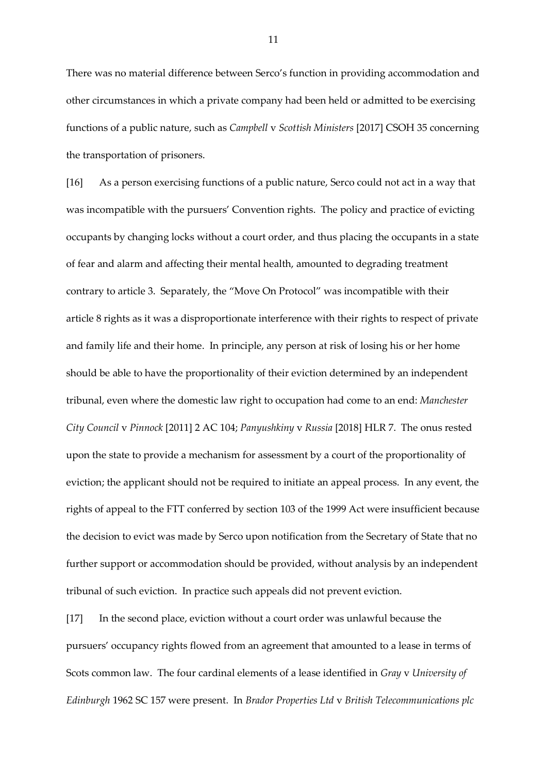There was no material difference between Serco's function in providing accommodation and other circumstances in which a private company had been held or admitted to be exercising functions of a public nature, such as *Campbell* v *Scottish Ministers* [2017] CSOH 35 concerning the transportation of prisoners.

[16] As a person exercising functions of a public nature, Serco could not act in a way that was incompatible with the pursuers' Convention rights. The policy and practice of evicting occupants by changing locks without a court order, and thus placing the occupants in a state of fear and alarm and affecting their mental health, amounted to degrading treatment contrary to article 3. Separately, the "Move On Protocol" was incompatible with their article 8 rights as it was a disproportionate interference with their rights to respect of private and family life and their home. In principle, any person at risk of losing his or her home should be able to have the proportionality of their eviction determined by an independent tribunal, even where the domestic law right to occupation had come to an end: *Manchester City Council* v *Pinnock* [2011] 2 AC 104; *Panyushkiny* v *Russia* [2018] HLR 7. The onus rested upon the state to provide a mechanism for assessment by a court of the proportionality of eviction; the applicant should not be required to initiate an appeal process. In any event, the rights of appeal to the FTT conferred by section 103 of the 1999 Act were insufficient because the decision to evict was made by Serco upon notification from the Secretary of State that no further support or accommodation should be provided, without analysis by an independent tribunal of such eviction. In practice such appeals did not prevent eviction.

[17] In the second place, eviction without a court order was unlawful because the pursuers' occupancy rights flowed from an agreement that amounted to a lease in terms of Scots common law. The four cardinal elements of a lease identified in *Gray* v *University of Edinburgh* 1962 SC 157 were present. In *Brador Properties Ltd* v *British Telecommunications plc*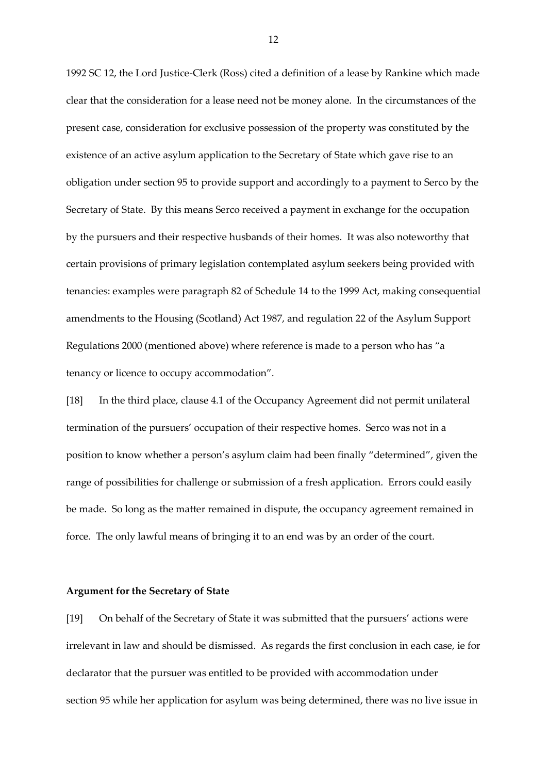1992 SC 12, the Lord Justice-Clerk (Ross) cited a definition of a lease by Rankine which made clear that the consideration for a lease need not be money alone. In the circumstances of the present case, consideration for exclusive possession of the property was constituted by the existence of an active asylum application to the Secretary of State which gave rise to an obligation under section 95 to provide support and accordingly to a payment to Serco by the Secretary of State. By this means Serco received a payment in exchange for the occupation by the pursuers and their respective husbands of their homes. It was also noteworthy that certain provisions of primary legislation contemplated asylum seekers being provided with tenancies: examples were paragraph 82 of Schedule 14 to the 1999 Act, making consequential amendments to the Housing (Scotland) Act 1987, and regulation 22 of the Asylum Support Regulations 2000 (mentioned above) where reference is made to a person who has "a tenancy or licence to occupy accommodation".

[18] In the third place, clause 4.1 of the Occupancy Agreement did not permit unilateral termination of the pursuers' occupation of their respective homes. Serco was not in a position to know whether a person's asylum claim had been finally "determined", given the range of possibilities for challenge or submission of a fresh application. Errors could easily be made. So long as the matter remained in dispute, the occupancy agreement remained in force. The only lawful means of bringing it to an end was by an order of the court.

#### **Argument for the Secretary of State**

[19] On behalf of the Secretary of State it was submitted that the pursuers' actions were irrelevant in law and should be dismissed. As regards the first conclusion in each case, ie for declarator that the pursuer was entitled to be provided with accommodation under section 95 while her application for asylum was being determined, there was no live issue in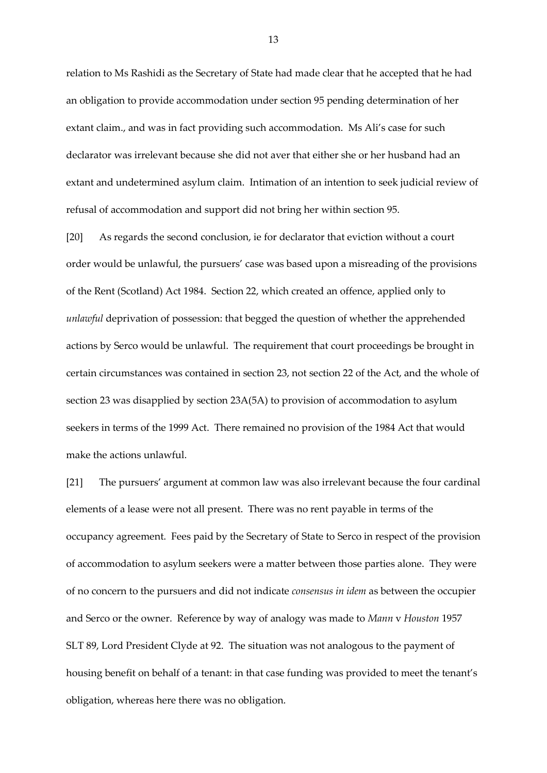relation to Ms Rashidi as the Secretary of State had made clear that he accepted that he had an obligation to provide accommodation under section 95 pending determination of her extant claim., and was in fact providing such accommodation. Ms Ali's case for such declarator was irrelevant because she did not aver that either she or her husband had an extant and undetermined asylum claim. Intimation of an intention to seek judicial review of refusal of accommodation and support did not bring her within section 95.

[20] As regards the second conclusion, ie for declarator that eviction without a court order would be unlawful, the pursuers' case was based upon a misreading of the provisions of the Rent (Scotland) Act 1984. Section 22, which created an offence, applied only to *unlawful* deprivation of possession: that begged the question of whether the apprehended actions by Serco would be unlawful. The requirement that court proceedings be brought in certain circumstances was contained in section 23, not section 22 of the Act, and the whole of section 23 was disapplied by section 23A(5A) to provision of accommodation to asylum seekers in terms of the 1999 Act. There remained no provision of the 1984 Act that would make the actions unlawful.

[21] The pursuers' argument at common law was also irrelevant because the four cardinal elements of a lease were not all present. There was no rent payable in terms of the occupancy agreement. Fees paid by the Secretary of State to Serco in respect of the provision of accommodation to asylum seekers were a matter between those parties alone. They were of no concern to the pursuers and did not indicate *consensus in idem* as between the occupier and Serco or the owner. Reference by way of analogy was made to *Mann* v *Houston* 1957 SLT 89, Lord President Clyde at 92. The situation was not analogous to the payment of housing benefit on behalf of a tenant: in that case funding was provided to meet the tenant's obligation, whereas here there was no obligation.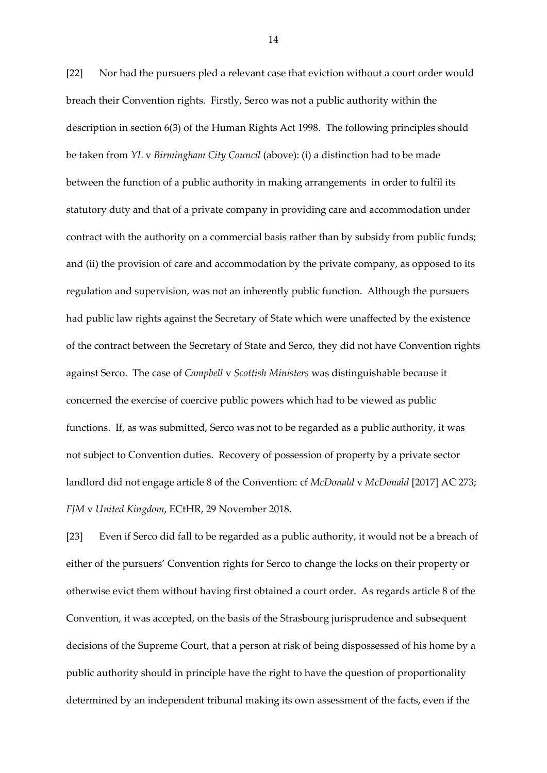[22] Nor had the pursuers pled a relevant case that eviction without a court order would breach their Convention rights. Firstly, Serco was not a public authority within the description in section 6(3) of the Human Rights Act 1998. The following principles should be taken from *YL* v *Birmingham City Council* (above): (i) a distinction had to be made between the function of a public authority in making arrangements in order to fulfil its statutory duty and that of a private company in providing care and accommodation under contract with the authority on a commercial basis rather than by subsidy from public funds; and (ii) the provision of care and accommodation by the private company, as opposed to its regulation and supervision, was not an inherently public function. Although the pursuers had public law rights against the Secretary of State which were unaffected by the existence of the contract between the Secretary of State and Serco, they did not have Convention rights against Serco. The case of *Campbell* v *Scottish Ministers* was distinguishable because it concerned the exercise of coercive public powers which had to be viewed as public functions. If, as was submitted, Serco was not to be regarded as a public authority, it was not subject to Convention duties. Recovery of possession of property by a private sector landlord did not engage article 8 of the Convention: cf *McDonald* v *McDonald* [2017] AC 273; *FJM* v *United Kingdom*, ECtHR, 29 November 2018.

[23] Even if Serco did fall to be regarded as a public authority, it would not be a breach of either of the pursuers' Convention rights for Serco to change the locks on their property or otherwise evict them without having first obtained a court order. As regards article 8 of the Convention, it was accepted, on the basis of the Strasbourg jurisprudence and subsequent decisions of the Supreme Court, that a person at risk of being dispossessed of his home by a public authority should in principle have the right to have the question of proportionality determined by an independent tribunal making its own assessment of the facts, even if the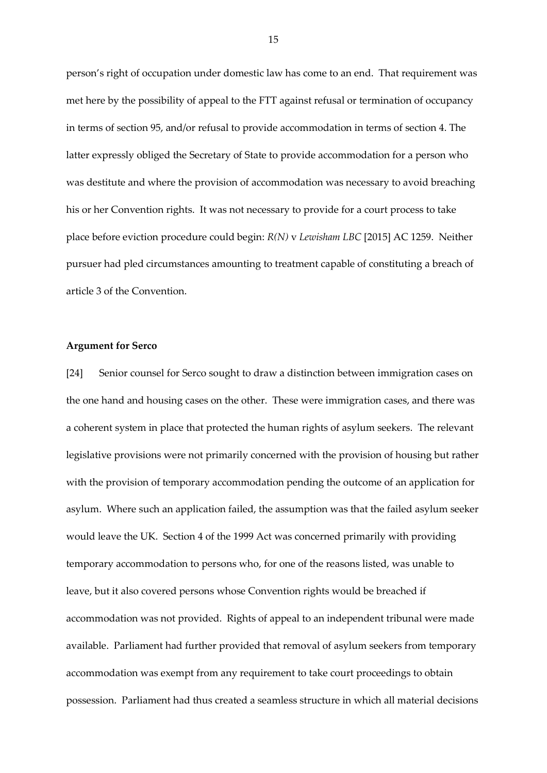person's right of occupation under domestic law has come to an end. That requirement was met here by the possibility of appeal to the FTT against refusal or termination of occupancy in terms of section 95, and/or refusal to provide accommodation in terms of section 4. The latter expressly obliged the Secretary of State to provide accommodation for a person who was destitute and where the provision of accommodation was necessary to avoid breaching his or her Convention rights. It was not necessary to provide for a court process to take place before eviction procedure could begin: *R(N)* v *Lewisham LBC* [2015] AC 1259. Neither pursuer had pled circumstances amounting to treatment capable of constituting a breach of article 3 of the Convention.

# **Argument for Serco**

[24] Senior counsel for Serco sought to draw a distinction between immigration cases on the one hand and housing cases on the other. These were immigration cases, and there was a coherent system in place that protected the human rights of asylum seekers. The relevant legislative provisions were not primarily concerned with the provision of housing but rather with the provision of temporary accommodation pending the outcome of an application for asylum. Where such an application failed, the assumption was that the failed asylum seeker would leave the UK. Section 4 of the 1999 Act was concerned primarily with providing temporary accommodation to persons who, for one of the reasons listed, was unable to leave, but it also covered persons whose Convention rights would be breached if accommodation was not provided. Rights of appeal to an independent tribunal were made available. Parliament had further provided that removal of asylum seekers from temporary accommodation was exempt from any requirement to take court proceedings to obtain possession. Parliament had thus created a seamless structure in which all material decisions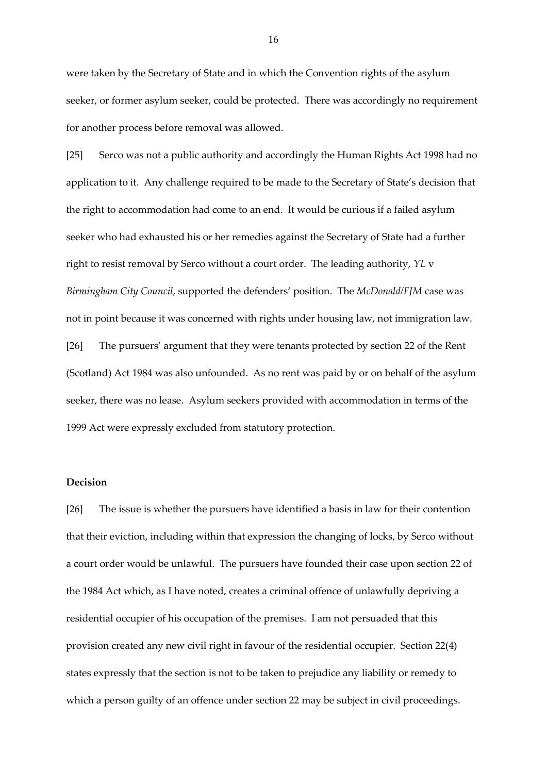were taken by the Secretary of State and in which the Convention rights of the asylum seeker, or former asylum seeker, could be protected. There was accordingly no requirement for another process before removal was allowed.

[25] Serco was not a public authority and accordingly the Human Rights Act 1998 had no application to it. Any challenge required to be made to the Secretary of State's decision that the right to accommodation had come to an end. It would be curious if a failed asylum seeker who had exhausted his or her remedies against the Secretary of State had a further right to resist removal by Serco without a court order. The leading authority, *YL* v *Birmingham City Council*, supported the defenders' position. The *McDonald/FJM* case was not in point because it was concerned with rights under housing law, not immigration law. [26] The pursuers' argument that they were tenants protected by section 22 of the Rent (Scotland) Act 1984 was also unfounded. As no rent was paid by or on behalf of the asylum seeker, there was no lease. Asylum seekers provided with accommodation in terms of the 1999 Act were expressly excluded from statutory protection.

### **Decision**

[26] The issue is whether the pursuers have identified a basis in law for their contention that their eviction, including within that expression the changing of locks, by Serco without a court order would be unlawful. The pursuers have founded their case upon section 22 of the 1984 Act which, as I have noted, creates a criminal offence of unlawfully depriving a residential occupier of his occupation of the premises. I am not persuaded that this provision created any new civil right in favour of the residential occupier. Section 22(4) states expressly that the section is not to be taken to prejudice any liability or remedy to which a person guilty of an offence under section 22 may be subject in civil proceedings.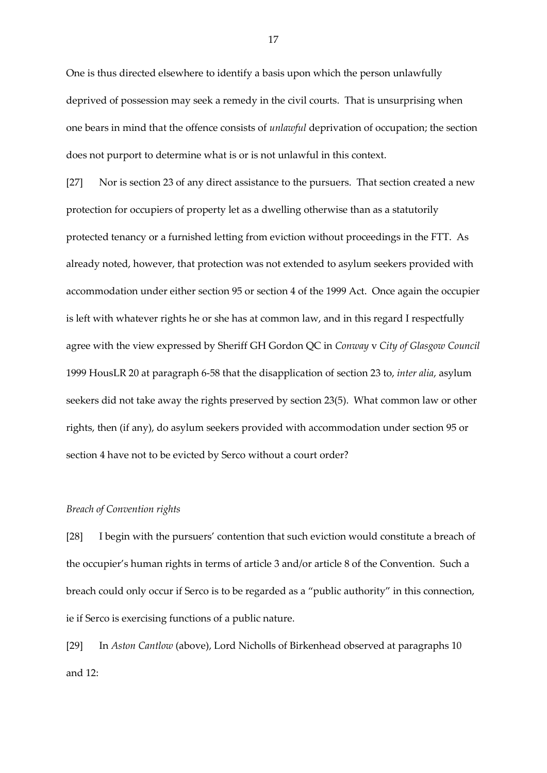One is thus directed elsewhere to identify a basis upon which the person unlawfully deprived of possession may seek a remedy in the civil courts. That is unsurprising when one bears in mind that the offence consists of *unlawful* deprivation of occupation; the section does not purport to determine what is or is not unlawful in this context.

[27] Nor is section 23 of any direct assistance to the pursuers. That section created a new protection for occupiers of property let as a dwelling otherwise than as a statutorily protected tenancy or a furnished letting from eviction without proceedings in the FTT. As already noted, however, that protection was not extended to asylum seekers provided with accommodation under either section 95 or section 4 of the 1999 Act. Once again the occupier is left with whatever rights he or she has at common law, and in this regard I respectfully agree with the view expressed by Sheriff GH Gordon QC in *Conway* v *City of Glasgow Council*  1999 HousLR 20 at paragraph 6-58 that the disapplication of section 23 to, *inter alia*, asylum seekers did not take away the rights preserved by section 23(5). What common law or other rights, then (if any), do asylum seekers provided with accommodation under section 95 or section 4 have not to be evicted by Serco without a court order?

# *Breach of Convention rights*

[28] I begin with the pursuers' contention that such eviction would constitute a breach of the occupier's human rights in terms of article 3 and/or article 8 of the Convention. Such a breach could only occur if Serco is to be regarded as a "public authority" in this connection, ie if Serco is exercising functions of a public nature.

[29] In *Aston Cantlow* (above), Lord Nicholls of Birkenhead observed at paragraphs 10 and 12: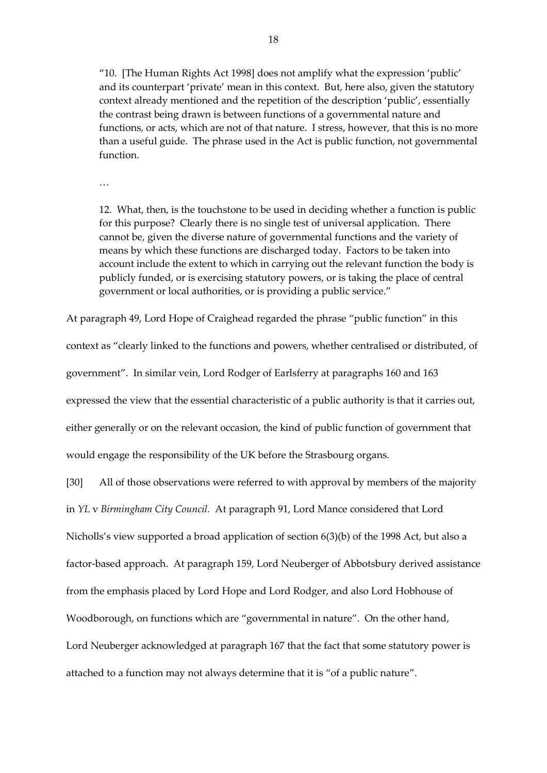"10. [The Human Rights Act 1998] does not amplify what the expression 'public' and its counterpart 'private' mean in this context. But, here also, given the statutory context already mentioned and the repetition of the description 'public', essentially the contrast being drawn is between functions of a governmental nature and functions, or acts, which are not of that nature. I stress, however, that this is no more than a useful guide. The phrase used in the Act is public function, not governmental function.

…

12. What, then, is the touchstone to be used in deciding whether a function is public for this purpose? Clearly there is no single test of universal application. There cannot be, given the diverse nature of governmental functions and the variety of means by which these functions are discharged today. Factors to be taken into account include the extent to which in carrying out the relevant function the body is publicly funded, or is exercising statutory powers, or is taking the place of central government or local authorities, or is providing a public service."

At paragraph 49, Lord Hope of Craighead regarded the phrase "public function" in this

context as "clearly linked to the functions and powers, whether centralised or distributed, of government". In similar vein, Lord Rodger of Earlsferry at paragraphs 160 and 163 expressed the view that the essential characteristic of a public authority is that it carries out, either generally or on the relevant occasion, the kind of public function of government that would engage the responsibility of the UK before the Strasbourg organs.

[30] All of those observations were referred to with approval by members of the majority in *YL* v *Birmingham City Council.* At paragraph 91, Lord Mance considered that Lord Nicholls's view supported a broad application of section 6(3)(b) of the 1998 Act, but also a factor-based approach. At paragraph 159, Lord Neuberger of Abbotsbury derived assistance from the emphasis placed by Lord Hope and Lord Rodger, and also Lord Hobhouse of Woodborough, on functions which are "governmental in nature". On the other hand, Lord Neuberger acknowledged at paragraph 167 that the fact that some statutory power is attached to a function may not always determine that it is "of a public nature".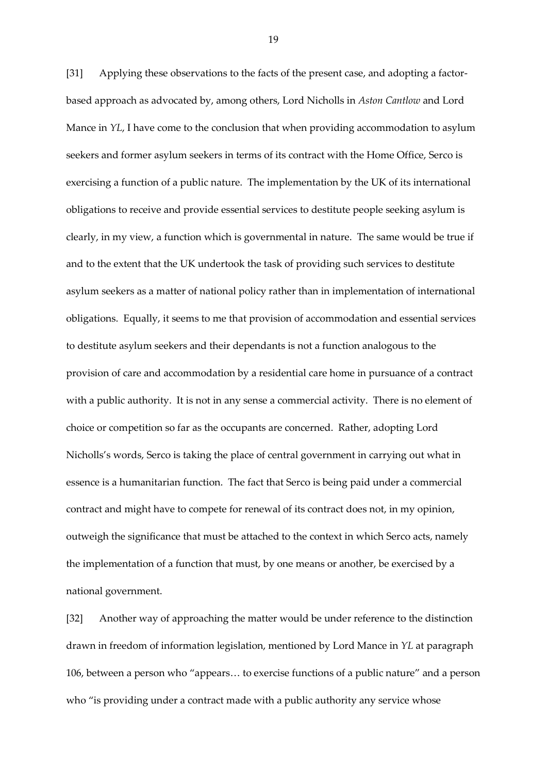[31] Applying these observations to the facts of the present case, and adopting a factorbased approach as advocated by, among others, Lord Nicholls in *Aston Cantlow* and Lord Mance in *YL*, I have come to the conclusion that when providing accommodation to asylum seekers and former asylum seekers in terms of its contract with the Home Office, Serco is exercising a function of a public nature. The implementation by the UK of its international obligations to receive and provide essential services to destitute people seeking asylum is clearly, in my view, a function which is governmental in nature. The same would be true if and to the extent that the UK undertook the task of providing such services to destitute asylum seekers as a matter of national policy rather than in implementation of international obligations. Equally, it seems to me that provision of accommodation and essential services to destitute asylum seekers and their dependants is not a function analogous to the provision of care and accommodation by a residential care home in pursuance of a contract with a public authority. It is not in any sense a commercial activity. There is no element of choice or competition so far as the occupants are concerned. Rather, adopting Lord Nicholls's words, Serco is taking the place of central government in carrying out what in essence is a humanitarian function. The fact that Serco is being paid under a commercial contract and might have to compete for renewal of its contract does not, in my opinion, outweigh the significance that must be attached to the context in which Serco acts, namely the implementation of a function that must, by one means or another, be exercised by a national government.

[32] Another way of approaching the matter would be under reference to the distinction drawn in freedom of information legislation, mentioned by Lord Mance in *YL* at paragraph 106, between a person who "appears… to exercise functions of a public nature" and a person who "is providing under a contract made with a public authority any service whose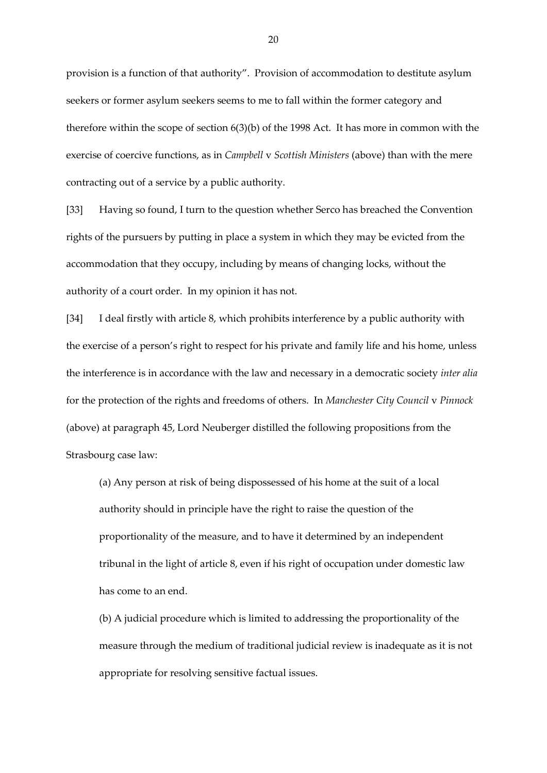provision is a function of that authority". Provision of accommodation to destitute asylum seekers or former asylum seekers seems to me to fall within the former category and therefore within the scope of section 6(3)(b) of the 1998 Act. It has more in common with the exercise of coercive functions, as in *Campbell* v *Scottish Ministers* (above) than with the mere contracting out of a service by a public authority.

[33] Having so found, I turn to the question whether Serco has breached the Convention rights of the pursuers by putting in place a system in which they may be evicted from the accommodation that they occupy, including by means of changing locks, without the authority of a court order. In my opinion it has not.

[34] I deal firstly with article 8, which prohibits interference by a public authority with the exercise of a person's right to respect for his private and family life and his home, unless the interference is in accordance with the law and necessary in a democratic society *inter alia*  for the protection of the rights and freedoms of others. In *Manchester City Council* v *Pinnock*  (above) at paragraph 45, Lord Neuberger distilled the following propositions from the Strasbourg case law:

(a) Any person at risk of being dispossessed of his home at the suit of a local authority should in principle have the right to raise the question of the proportionality of the measure, and to have it determined by an independent tribunal in the light of article 8, even if his right of occupation under domestic law has come to an end.

(b) A judicial procedure which is limited to addressing the proportionality of the measure through the medium of traditional judicial review is inadequate as it is not appropriate for resolving sensitive factual issues.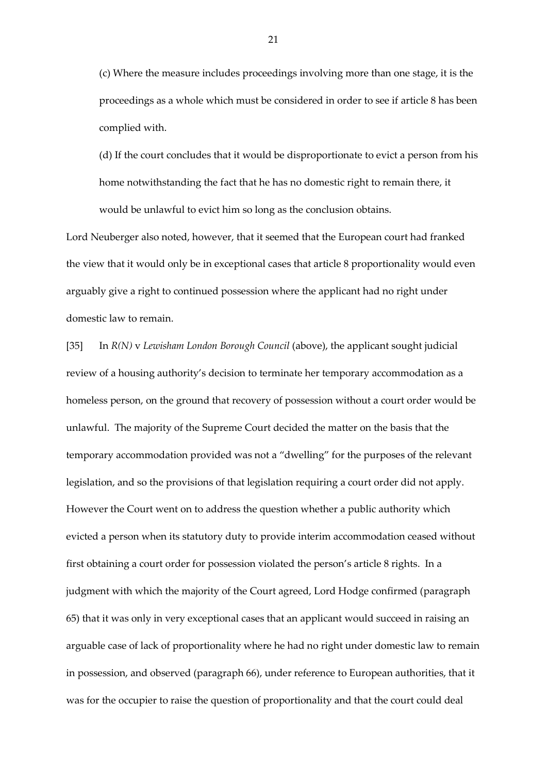(c) Where the measure includes proceedings involving more than one stage, it is the proceedings as a whole which must be considered in order to see if article 8 has been complied with.

(d) If the court concludes that it would be disproportionate to evict a person from his home notwithstanding the fact that he has no domestic right to remain there, it would be unlawful to evict him so long as the conclusion obtains.

Lord Neuberger also noted, however, that it seemed that the European court had franked the view that it would only be in exceptional cases that article 8 proportionality would even arguably give a right to continued possession where the applicant had no right under domestic law to remain.

[35] In *R(N)* v *Lewisham London Borough Council* (above), the applicant sought judicial review of a housing authority's decision to terminate her temporary accommodation as a homeless person, on the ground that recovery of possession without a court order would be unlawful. The majority of the Supreme Court decided the matter on the basis that the temporary accommodation provided was not a "dwelling" for the purposes of the relevant legislation, and so the provisions of that legislation requiring a court order did not apply. However the Court went on to address the question whether a public authority which evicted a person when its statutory duty to provide interim accommodation ceased without first obtaining a court order for possession violated the person's article 8 rights. In a judgment with which the majority of the Court agreed, Lord Hodge confirmed (paragraph 65) that it was only in very exceptional cases that an applicant would succeed in raising an arguable case of lack of proportionality where he had no right under domestic law to remain in possession, and observed (paragraph 66), under reference to European authorities, that it was for the occupier to raise the question of proportionality and that the court could deal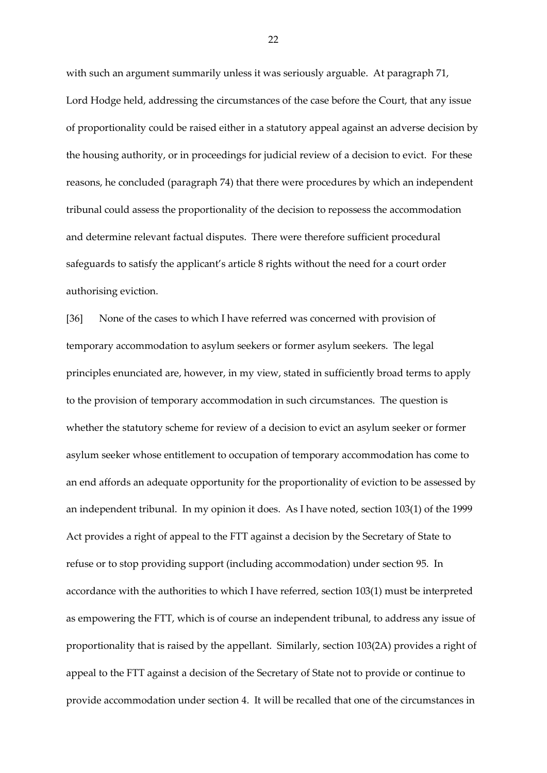with such an argument summarily unless it was seriously arguable. At paragraph 71, Lord Hodge held, addressing the circumstances of the case before the Court, that any issue of proportionality could be raised either in a statutory appeal against an adverse decision by the housing authority, or in proceedings for judicial review of a decision to evict. For these reasons, he concluded (paragraph 74) that there were procedures by which an independent tribunal could assess the proportionality of the decision to repossess the accommodation and determine relevant factual disputes. There were therefore sufficient procedural safeguards to satisfy the applicant's article 8 rights without the need for a court order authorising eviction.

[36] None of the cases to which I have referred was concerned with provision of temporary accommodation to asylum seekers or former asylum seekers. The legal principles enunciated are, however, in my view, stated in sufficiently broad terms to apply to the provision of temporary accommodation in such circumstances. The question is whether the statutory scheme for review of a decision to evict an asylum seeker or former asylum seeker whose entitlement to occupation of temporary accommodation has come to an end affords an adequate opportunity for the proportionality of eviction to be assessed by an independent tribunal. In my opinion it does. As I have noted, section 103(1) of the 1999 Act provides a right of appeal to the FTT against a decision by the Secretary of State to refuse or to stop providing support (including accommodation) under section 95. In accordance with the authorities to which I have referred, section 103(1) must be interpreted as empowering the FTT, which is of course an independent tribunal, to address any issue of proportionality that is raised by the appellant. Similarly, section 103(2A) provides a right of appeal to the FTT against a decision of the Secretary of State not to provide or continue to provide accommodation under section 4. It will be recalled that one of the circumstances in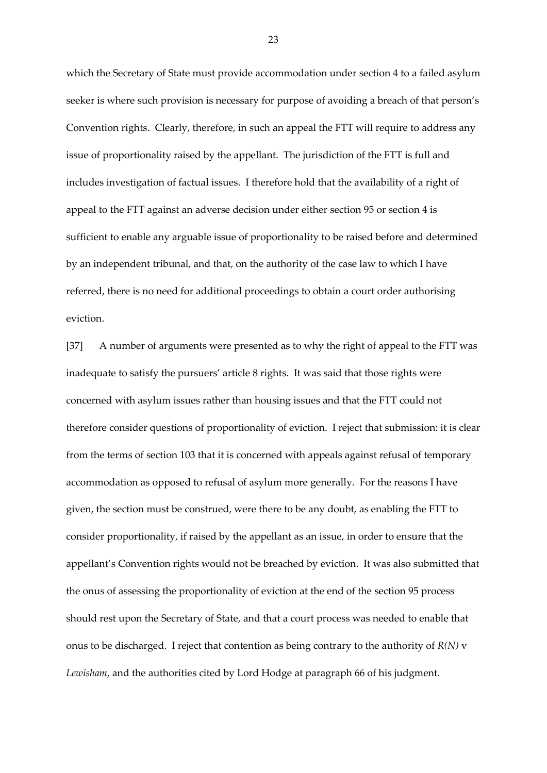which the Secretary of State must provide accommodation under section 4 to a failed asylum seeker is where such provision is necessary for purpose of avoiding a breach of that person's Convention rights. Clearly, therefore, in such an appeal the FTT will require to address any issue of proportionality raised by the appellant. The jurisdiction of the FTT is full and includes investigation of factual issues. I therefore hold that the availability of a right of appeal to the FTT against an adverse decision under either section 95 or section 4 is sufficient to enable any arguable issue of proportionality to be raised before and determined by an independent tribunal, and that, on the authority of the case law to which I have referred, there is no need for additional proceedings to obtain a court order authorising eviction.

[37] A number of arguments were presented as to why the right of appeal to the FTT was inadequate to satisfy the pursuers' article 8 rights. It was said that those rights were concerned with asylum issues rather than housing issues and that the FTT could not therefore consider questions of proportionality of eviction. I reject that submission: it is clear from the terms of section 103 that it is concerned with appeals against refusal of temporary accommodation as opposed to refusal of asylum more generally. For the reasons I have given, the section must be construed, were there to be any doubt, as enabling the FTT to consider proportionality, if raised by the appellant as an issue, in order to ensure that the appellant's Convention rights would not be breached by eviction. It was also submitted that the onus of assessing the proportionality of eviction at the end of the section 95 process should rest upon the Secretary of State, and that a court process was needed to enable that onus to be discharged. I reject that contention as being contrary to the authority of *R(N)* v *Lewisham*, and the authorities cited by Lord Hodge at paragraph 66 of his judgment.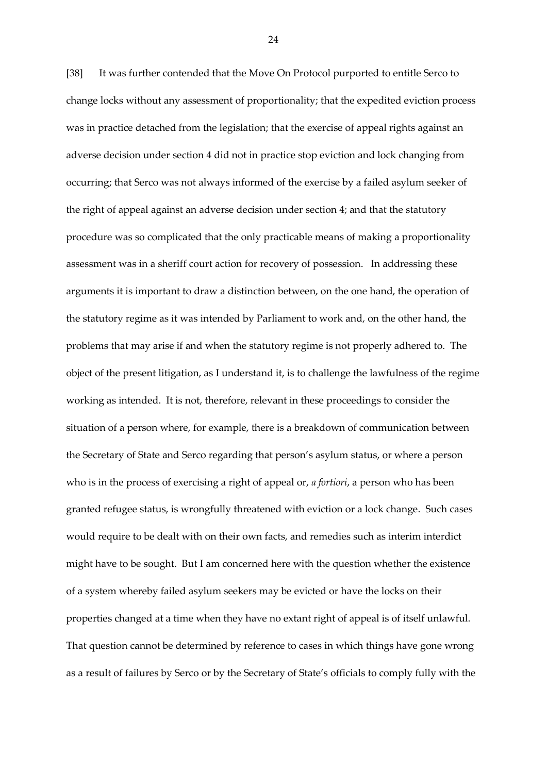[38] It was further contended that the Move On Protocol purported to entitle Serco to change locks without any assessment of proportionality; that the expedited eviction process was in practice detached from the legislation; that the exercise of appeal rights against an adverse decision under section 4 did not in practice stop eviction and lock changing from occurring; that Serco was not always informed of the exercise by a failed asylum seeker of the right of appeal against an adverse decision under section 4; and that the statutory procedure was so complicated that the only practicable means of making a proportionality assessment was in a sheriff court action for recovery of possession. In addressing these arguments it is important to draw a distinction between, on the one hand, the operation of the statutory regime as it was intended by Parliament to work and, on the other hand, the problems that may arise if and when the statutory regime is not properly adhered to. The object of the present litigation, as I understand it, is to challenge the lawfulness of the regime working as intended. It is not, therefore, relevant in these proceedings to consider the situation of a person where, for example, there is a breakdown of communication between the Secretary of State and Serco regarding that person's asylum status, or where a person who is in the process of exercising a right of appeal or, *a fortiori*, a person who has been granted refugee status, is wrongfully threatened with eviction or a lock change. Such cases would require to be dealt with on their own facts, and remedies such as interim interdict might have to be sought. But I am concerned here with the question whether the existence of a system whereby failed asylum seekers may be evicted or have the locks on their properties changed at a time when they have no extant right of appeal is of itself unlawful. That question cannot be determined by reference to cases in which things have gone wrong as a result of failures by Serco or by the Secretary of State's officials to comply fully with the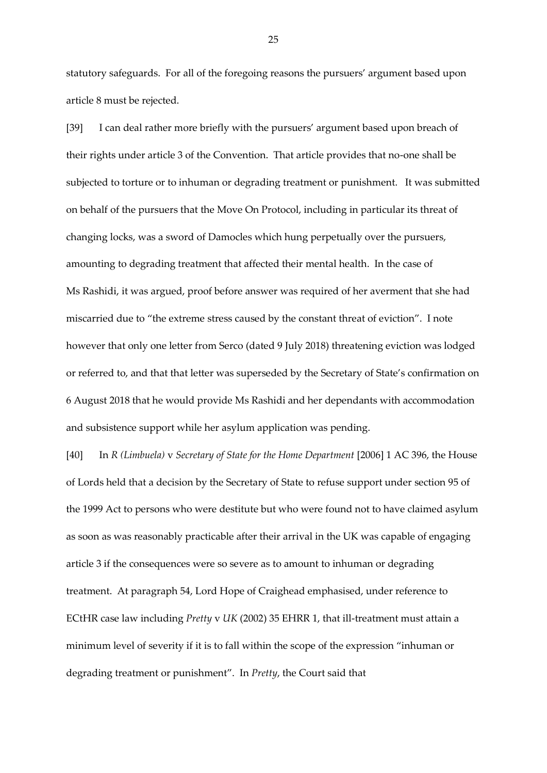statutory safeguards. For all of the foregoing reasons the pursuers' argument based upon article 8 must be rejected.

[39] I can deal rather more briefly with the pursuers' argument based upon breach of their rights under article 3 of the Convention. That article provides that no-one shall be subjected to torture or to inhuman or degrading treatment or punishment. It was submitted on behalf of the pursuers that the Move On Protocol, including in particular its threat of changing locks, was a sword of Damocles which hung perpetually over the pursuers, amounting to degrading treatment that affected their mental health. In the case of Ms Rashidi, it was argued, proof before answer was required of her averment that she had miscarried due to "the extreme stress caused by the constant threat of eviction". I note however that only one letter from Serco (dated 9 July 2018) threatening eviction was lodged or referred to, and that that letter was superseded by the Secretary of State's confirmation on 6 August 2018 that he would provide Ms Rashidi and her dependants with accommodation and subsistence support while her asylum application was pending.

[40] In *R (Limbuela)* v *Secretary of State for the Home Department* [2006] 1 AC 396, the House of Lords held that a decision by the Secretary of State to refuse support under section 95 of the 1999 Act to persons who were destitute but who were found not to have claimed asylum as soon as was reasonably practicable after their arrival in the UK was capable of engaging article 3 if the consequences were so severe as to amount to inhuman or degrading treatment. At paragraph 54, Lord Hope of Craighead emphasised, under reference to ECtHR case law including *Pretty* v *UK* (2002) 35 EHRR 1, that ill-treatment must attain a minimum level of severity if it is to fall within the scope of the expression "inhuman or degrading treatment or punishment". In *Pretty*, the Court said that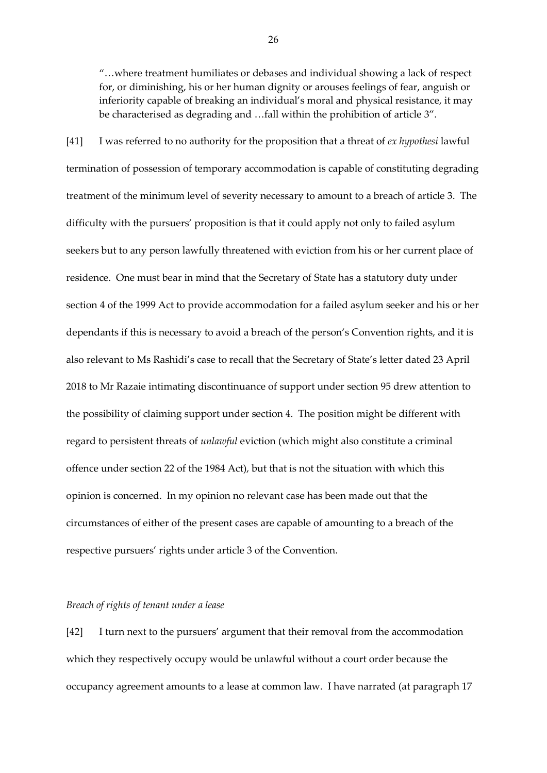"…where treatment humiliates or debases and individual showing a lack of respect for, or diminishing, his or her human dignity or arouses feelings of fear, anguish or inferiority capable of breaking an individual's moral and physical resistance, it may be characterised as degrading and …fall within the prohibition of article 3".

[41] I was referred to no authority for the proposition that a threat of *ex hypothesi* lawful termination of possession of temporary accommodation is capable of constituting degrading treatment of the minimum level of severity necessary to amount to a breach of article 3. The difficulty with the pursuers' proposition is that it could apply not only to failed asylum seekers but to any person lawfully threatened with eviction from his or her current place of residence. One must bear in mind that the Secretary of State has a statutory duty under section 4 of the 1999 Act to provide accommodation for a failed asylum seeker and his or her dependants if this is necessary to avoid a breach of the person's Convention rights, and it is also relevant to Ms Rashidi's case to recall that the Secretary of State's letter dated 23 April 2018 to Mr Razaie intimating discontinuance of support under section 95 drew attention to the possibility of claiming support under section 4. The position might be different with regard to persistent threats of *unlawful* eviction (which might also constitute a criminal offence under section 22 of the 1984 Act), but that is not the situation with which this opinion is concerned. In my opinion no relevant case has been made out that the circumstances of either of the present cases are capable of amounting to a breach of the respective pursuers' rights under article 3 of the Convention.

#### *Breach of rights of tenant under a lease*

[42] I turn next to the pursuers' argument that their removal from the accommodation which they respectively occupy would be unlawful without a court order because the occupancy agreement amounts to a lease at common law. I have narrated (at paragraph 17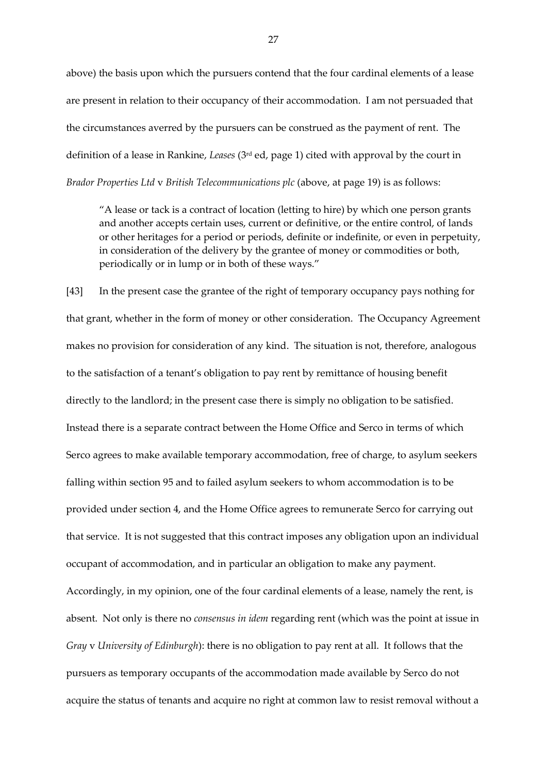above) the basis upon which the pursuers contend that the four cardinal elements of a lease are present in relation to their occupancy of their accommodation. I am not persuaded that the circumstances averred by the pursuers can be construed as the payment of rent. The definition of a lease in Rankine, *Leases* (3rd ed, page 1) cited with approval by the court in *Brador Properties Ltd* v *British Telecommunications plc* (above, at page 19) is as follows:

"A lease or tack is a contract of location (letting to hire) by which one person grants and another accepts certain uses, current or definitive, or the entire control, of lands or other heritages for a period or periods, definite or indefinite, or even in perpetuity, in consideration of the delivery by the grantee of money or commodities or both, periodically or in lump or in both of these ways."

[43] In the present case the grantee of the right of temporary occupancy pays nothing for that grant, whether in the form of money or other consideration. The Occupancy Agreement makes no provision for consideration of any kind. The situation is not, therefore, analogous to the satisfaction of a tenant's obligation to pay rent by remittance of housing benefit directly to the landlord; in the present case there is simply no obligation to be satisfied. Instead there is a separate contract between the Home Office and Serco in terms of which Serco agrees to make available temporary accommodation, free of charge, to asylum seekers falling within section 95 and to failed asylum seekers to whom accommodation is to be provided under section 4, and the Home Office agrees to remunerate Serco for carrying out that service. It is not suggested that this contract imposes any obligation upon an individual occupant of accommodation, and in particular an obligation to make any payment. Accordingly, in my opinion, one of the four cardinal elements of a lease, namely the rent, is absent. Not only is there no *consensus in idem* regarding rent (which was the point at issue in *Gray* v *University of Edinburgh*): there is no obligation to pay rent at all. It follows that the pursuers as temporary occupants of the accommodation made available by Serco do not acquire the status of tenants and acquire no right at common law to resist removal without a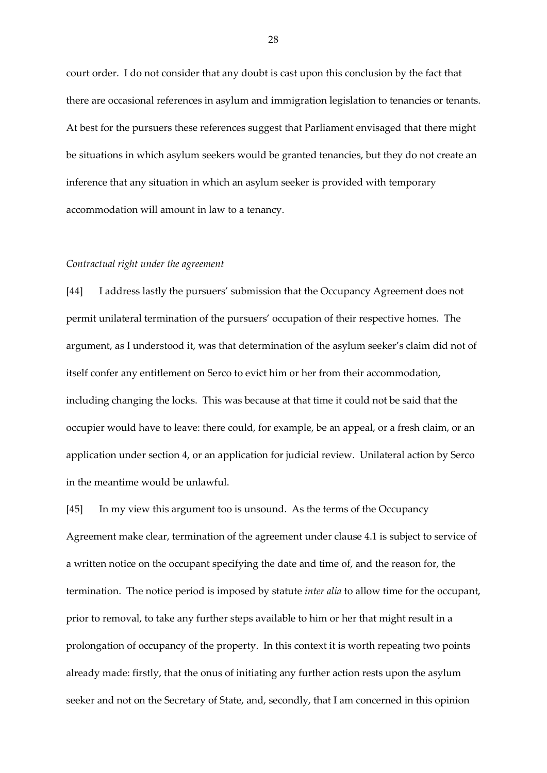court order. I do not consider that any doubt is cast upon this conclusion by the fact that there are occasional references in asylum and immigration legislation to tenancies or tenants. At best for the pursuers these references suggest that Parliament envisaged that there might be situations in which asylum seekers would be granted tenancies, but they do not create an inference that any situation in which an asylum seeker is provided with temporary accommodation will amount in law to a tenancy.

#### *Contractual right under the agreement*

[44] I address lastly the pursuers' submission that the Occupancy Agreement does not permit unilateral termination of the pursuers' occupation of their respective homes. The argument, as I understood it, was that determination of the asylum seeker's claim did not of itself confer any entitlement on Serco to evict him or her from their accommodation, including changing the locks. This was because at that time it could not be said that the occupier would have to leave: there could, for example, be an appeal, or a fresh claim, or an application under section 4, or an application for judicial review. Unilateral action by Serco in the meantime would be unlawful.

[45] In my view this argument too is unsound. As the terms of the Occupancy Agreement make clear, termination of the agreement under clause 4.1 is subject to service of a written notice on the occupant specifying the date and time of, and the reason for, the termination. The notice period is imposed by statute *inter alia* to allow time for the occupant, prior to removal, to take any further steps available to him or her that might result in a prolongation of occupancy of the property. In this context it is worth repeating two points already made: firstly, that the onus of initiating any further action rests upon the asylum seeker and not on the Secretary of State, and, secondly, that I am concerned in this opinion